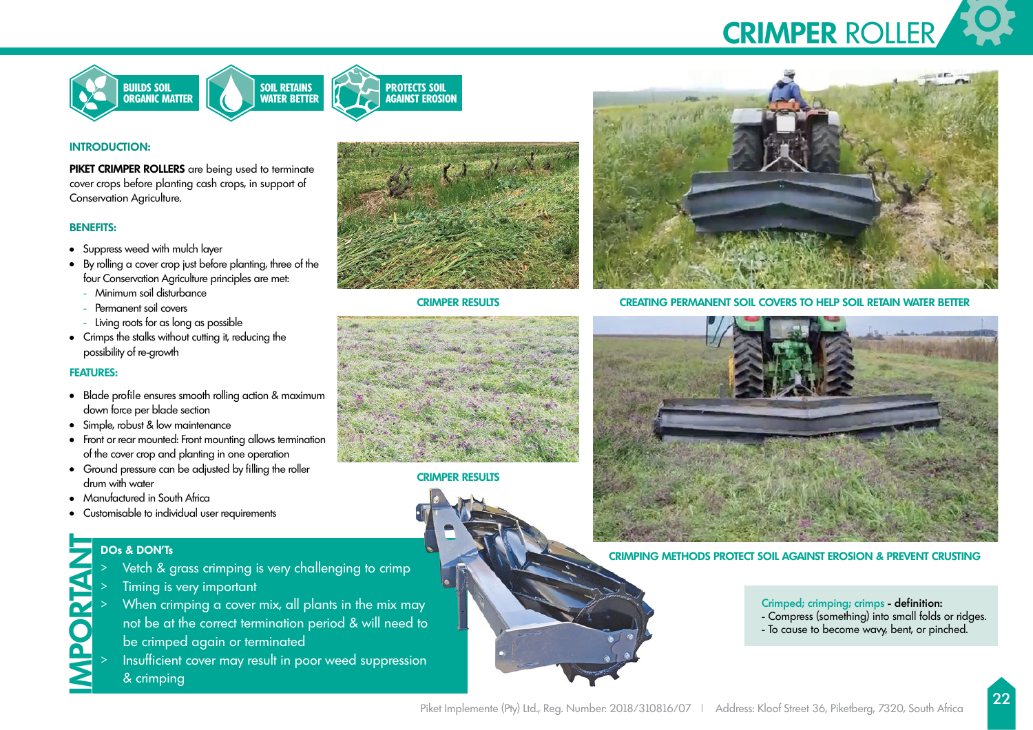



## **INTRODUCTION:**

**PIKET CRIMPER ROLLERS** are being used to terminate cover crops before planting cash crops, in support of Conservation Agriculture.

# **BENEFITS:**

- Suppress weed with mulch layer
- By rolling a cover crop just before planting, three of the four Conservation Agriculture principles are met:
	- Minimum soil disturbance
	- Permanent soil covers
	- Living roots for as long as possible
- Crimps the stalks without cutting it, reducing the possibility of re-growth

### **FEATURES:**

- Blade profile ensures smooth rolling action & maximum down force per blade section
- Simple, robust & low maintenance
- Front or rear mounted: Front mounting allows termination of the cover crop and planting in one operation
- Ground pressure can be adjusted by filling the roller drum with water
- Manufactured in South Africa
- Customisable to individual user requirements

- > Vetch & grass crimping is very challenging to crimp
- Timing is very important
- **IMPORTANT ISLAMS**<br>
IMPORTANT UNITY UP:<br>
IMPORTANT UP:<br>
IMPORTANT UP:<br>
IMPORTANT UP:<br>
IMPORTANT UP:<br>
IMPORTANT UP:<br>
IMPORTANT UP:<br>
IMPORTANT UP:<br>
IMPORTANT UP:<br>
IMPORTANT UP:<br>
IMPORTANT UP: > When crimping a cover mix, all plants in the mix may not be at the correct termination period & will need to be crimped again or terminated
	- Insufficient cover may result in poor weed suppression & crimping



**CRIMPER RESULTS**



**CRIMPER RESULTS CREATING PERMANENT SOIL COVERS TO HELP SOIL RETAIN WATER BETTER**



**CRIMPING METHODS PROTECT SOIL AGAINST EROSION & PREVENT CRUSTING**

# Crimped; crimping; crimps - definition:

- Compress (something) into small folds or ridges.
- To cause to become wavy, bent, or pinched.